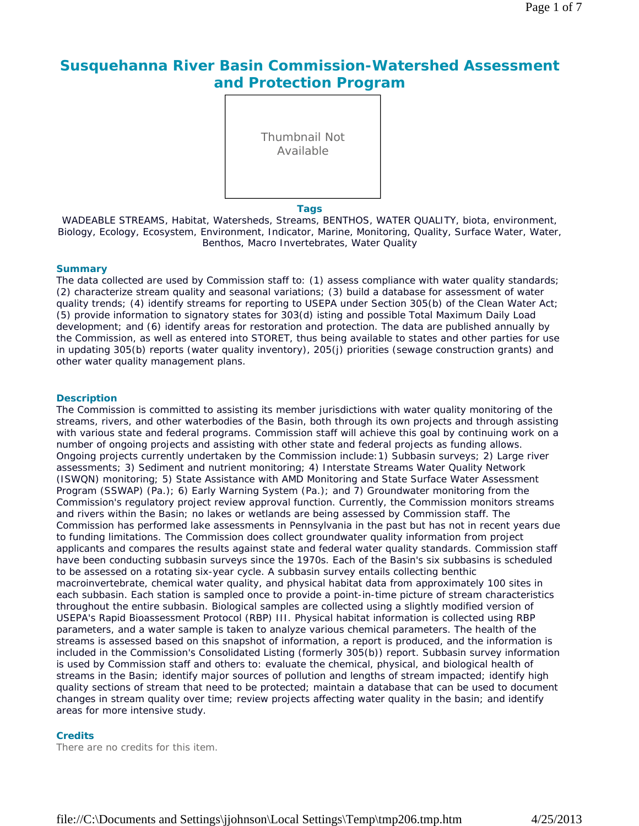# **Susquehanna River Basin Commission-Watershed Assessment and Protection Program**



#### **Tags**

WADEABLE STREAMS, Habitat, Watersheds, Streams, BENTHOS, WATER QUALITY, biota, environment, Biology, Ecology, Ecosystem, Environment, Indicator, Marine, Monitoring, Quality, Surface Water, Water, Benthos, Macro Invertebrates, Water Quality

#### **Summary**

The data collected are used by Commission staff to: (1) assess compliance with water quality standards; (2) characterize stream quality and seasonal variations; (3) build a database for assessment of water quality trends; (4) identify streams for reporting to USEPA under Section 305(b) of the Clean Water Act; (5) provide information to signatory states for 303(d) isting and possible Total Maximum Daily Load development; and (6) identify areas for restoration and protection. The data are published annually by the Commission, as well as entered into STORET, thus being available to states and other parties for use in updating 305(b) reports (water quality inventory), 205(j) priorities (sewage construction grants) and other water quality management plans.

#### **Description**

The Commission is committed to assisting its member jurisdictions with water quality monitoring of the streams, rivers, and other waterbodies of the Basin, both through its own projects and through assisting with various state and federal programs. Commission staff will achieve this goal by continuing work on a number of ongoing projects and assisting with other state and federal projects as funding allows. Ongoing projects currently undertaken by the Commission include:1) Subbasin surveys; 2) Large river assessments; 3) Sediment and nutrient monitoring; 4) Interstate Streams Water Quality Network (ISWQN) monitoring; 5) State Assistance with AMD Monitoring and State Surface Water Assessment Program (SSWAP) (Pa.); 6) Early Warning System (Pa.); and 7) Groundwater monitoring from the Commission's regulatory project review approval function. Currently, the Commission monitors streams and rivers within the Basin; no lakes or wetlands are being assessed by Commission staff. The Commission has performed lake assessments in Pennsylvania in the past but has not in recent years due to funding limitations. The Commission does collect groundwater quality information from project applicants and compares the results against state and federal water quality standards. Commission staff have been conducting subbasin surveys since the 1970s. Each of the Basin's six subbasins is scheduled to be assessed on a rotating six-year cycle. A subbasin survey entails collecting benthic macroinvertebrate, chemical water quality, and physical habitat data from approximately 100 sites in each subbasin. Each station is sampled once to provide a point-in-time picture of stream characteristics throughout the entire subbasin. Biological samples are collected using a slightly modified version of USEPA's Rapid Bioassessment Protocol (RBP) III. Physical habitat information is collected using RBP parameters, and a water sample is taken to analyze various chemical parameters. The health of the streams is assessed based on this snapshot of information, a report is produced, and the information is included in the Commission's Consolidated Listing (formerly 305(b)) report. Subbasin survey information is used by Commission staff and others to: evaluate the chemical, physical, and biological health of streams in the Basin; identify major sources of pollution and lengths of stream impacted; identify high quality sections of stream that need to be protected; maintain a database that can be used to document changes in stream quality over time; review projects affecting water quality in the basin; and identify areas for more intensive study.

### **Credits**

There are no credits for this item.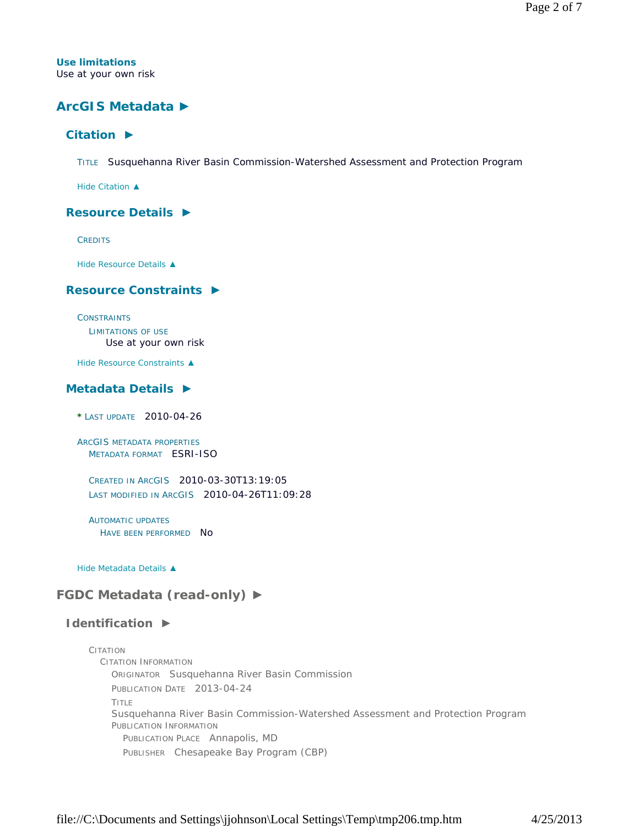**Use limitations** Use at your own risk

## **ArcGIS Metadata ►**

## **Citation ►**

TITLE Susquehanna River Basin Commission-Watershed Assessment and Protection Program

*Hide Citation ▲*

#### **Resource Details ►**

**CREDITS** 

*Hide Resource Details ▲*

### **Resource Constraints ►**

**CONSTRAINTS** LIMITATIONS OF USE Use at your own risk

*Hide Resource Constraints ▲*

## **Metadata Details ►**

**\*** LAST UPDATE 2010-04-26

ARCGIS METADATA PROPERTIES METADATA FORMAT ESRI-ISO

CREATED IN ARCGIS 2010-03-30T13:19:05 LAST MODIFIED IN ARCGIS 2010-04-26T11:09:28

AUTOMATIC UPDATES HAVE BEEN PERFORMED NO

*Hide Metadata Details ▲*

## **FGDC Metadata (read-only) ►**

## **Identification ►**

CITATION CITATION INFORMATION ORIGINATOR Susquehanna River Basin Commission PUBLICATION DATE 2013-04-24 TITLE Susquehanna River Basin Commission-Watershed Assessment and Protection Program PUBLICATION INFORMATION PUBLICATION PLACE Annapolis, MD PUBLISHER Chesapeake Bay Program (CBP)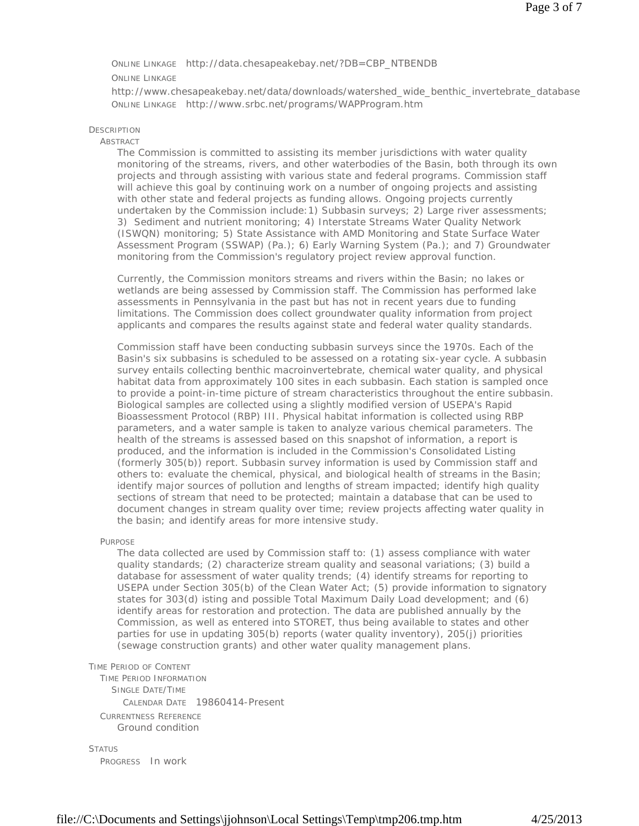#### ONLINE LINKAGE http://data.chesapeakebay.net/?DB=CBP\_NTBENDB

#### ONLINE LINKAGE

http://www.chesapeakebay.net/data/downloads/watershed\_wide\_benthic\_invertebrate\_database ONLINE LINKAGE http://www.srbc.net/programs/WAPProgram.htm

#### **DESCRIPTION**

#### ABSTRACT

The Commission is committed to assisting its member jurisdictions with water quality monitoring of the streams, rivers, and other waterbodies of the Basin, both through its own projects and through assisting with various state and federal programs. Commission staff will achieve this goal by continuing work on a number of ongoing projects and assisting with other state and federal projects as funding allows. Ongoing projects currently undertaken by the Commission include:1) Subbasin surveys; 2) Large river assessments; 3) Sediment and nutrient monitoring; 4) Interstate Streams Water Quality Network (ISWQN) monitoring; 5) State Assistance with AMD Monitoring and State Surface Water Assessment Program (SSWAP) (Pa.); 6) Early Warning System (Pa.); and 7) Groundwater monitoring from the Commission's regulatory project review approval function.

Currently, the Commission monitors streams and rivers within the Basin; no lakes or wetlands are being assessed by Commission staff. The Commission has performed lake assessments in Pennsylvania in the past but has not in recent years due to funding limitations. The Commission does collect groundwater quality information from project applicants and compares the results against state and federal water quality standards.

Commission staff have been conducting subbasin surveys since the 1970s. Each of the Basin's six subbasins is scheduled to be assessed on a rotating six-year cycle. A subbasin survey entails collecting benthic macroinvertebrate, chemical water quality, and physical habitat data from approximately 100 sites in each subbasin. Each station is sampled once to provide a point-in-time picture of stream characteristics throughout the entire subbasin. Biological samples are collected using a slightly modified version of USEPA's Rapid Bioassessment Protocol (RBP) III. Physical habitat information is collected using RBP parameters, and a water sample is taken to analyze various chemical parameters. The health of the streams is assessed based on this snapshot of information, a report is produced, and the information is included in the Commission's Consolidated Listing (formerly 305(b)) report. Subbasin survey information is used by Commission staff and others to: evaluate the chemical, physical, and biological health of streams in the Basin; identify major sources of pollution and lengths of stream impacted; identify high quality sections of stream that need to be protected; maintain a database that can be used to document changes in stream quality over time; review projects affecting water quality in the basin; and identify areas for more intensive study.

PURPOSE

The data collected are used by Commission staff to: (1) assess compliance with water quality standards; (2) characterize stream quality and seasonal variations; (3) build a database for assessment of water quality trends; (4) identify streams for reporting to USEPA under Section 305(b) of the Clean Water Act; (5) provide information to signatory states for 303(d) isting and possible Total Maximum Daily Load development; and (6) identify areas for restoration and protection. The data are published annually by the Commission, as well as entered into STORET, thus being available to states and other parties for use in updating 305(b) reports (water quality inventory), 205(j) priorities (sewage construction grants) and other water quality management plans.

#### TIME PERIOD OF CONTENT

TIME PERIOD INFORMATION SINGLE DATE/TIME CALENDAR DATE 19860414-Present CURRENTNESS REFERENCE Ground condition

**STATUS** PROGRESS In work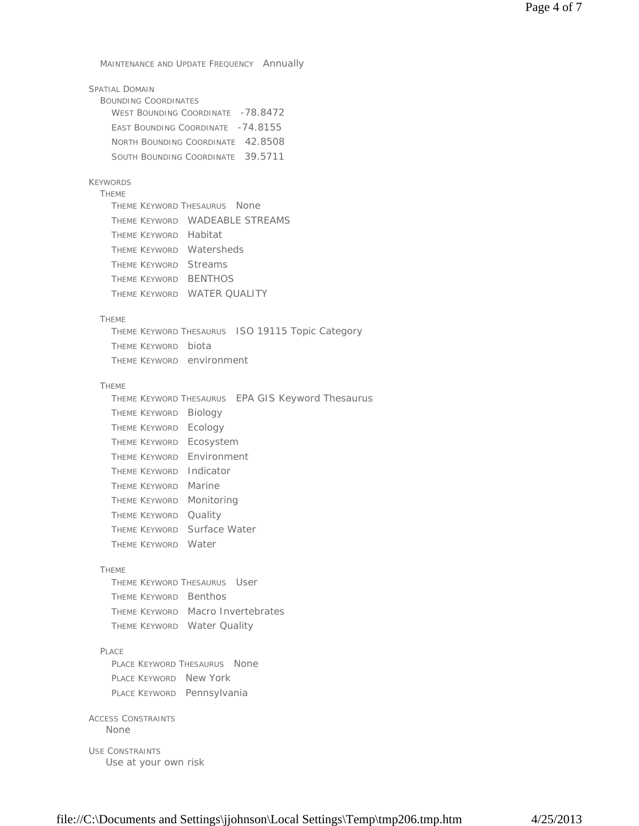MAINTENANCE AND UPDATE FREQUENCY Annually

| WEST BOUNDING COORDINATE -78.8472 |
|-----------------------------------|
|                                   |
| NORTH BOUNDING COORDINATE 42.8508 |
| SOUTH BOUNDING COORDINATE 39.5711 |
| EAST BOUNDING COORDINATE -74.8155 |

## KEYWORDS

THEME THEME KEYWORD THESAURUS None THEME KEYWORD WADEABLE STREAMS THEME KEYWORD Habitat THEME KEYWORD Watersheds THEME KEYWORD Streams THEME KEYWORD BENTHOS THEME KEYWORD WATER QUALITY

#### THEME

THEME KEYWORD THESAURUS ISO 19115 Topic Category THEME KEYWORD biota THEME KEYWORD environment

#### THEME

|                             | THEME KEYWORD THESAURUS EPA GIS Keyword Thesaurus |
|-----------------------------|---------------------------------------------------|
| THEME KEYWORD Biology       |                                                   |
| THEME KEYWORD Ecology       |                                                   |
| THEME KEYWORD Ecosystem     |                                                   |
| THEME KEYWORD Environment   |                                                   |
| THEME KEYWORD Indicator     |                                                   |
| <b>THEME KEYWORD Marine</b> |                                                   |
| THEME KEYWORD Monitoring    |                                                   |
| THEME KEYWORD Quality       |                                                   |
|                             | THEME KEYWORD Surface Water                       |
| THEME KEYWORD Water         |                                                   |
|                             |                                                   |

#### THEME

THEME KEYWORD THESAURUS User THEME KEYWORD Benthos THEME KEYWORD Macro Invertebrates THEME KEYWORD Water Quality

#### PLACE

PLACE KEYWORD THESAURUS None PLACE KEYWORD New York PLACE KEYWORD Pennsylvania

## ACCESS CONSTRAINTS

None

USE CONSTRAINTS Use at your own risk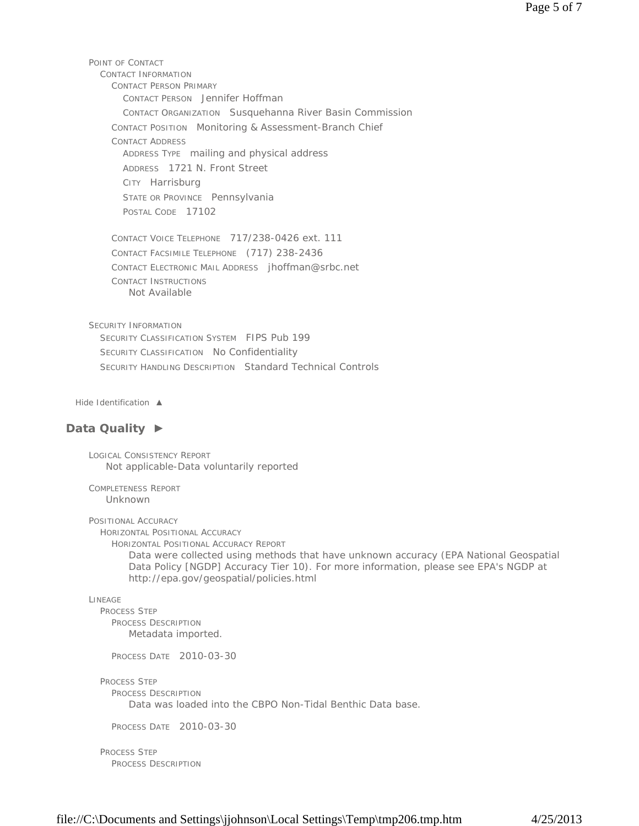POINT OF CONTACT CONTACT INFORMATION CONTACT PERSON PRIMARY CONTACT PERSON Jennifer Hoffman CONTACT ORGANIZATION Susquehanna River Basin Commission CONTACT POSITION Monitoring & Assessment-Branch Chief CONTACT ADDRESS ADDRESS TYPE mailing and physical address ADDRESS 1721 N. Front Street CITY Harrisburg STATE OR PROVINCE Pennsylvania POSTAL CODE 17102 CONTACT VOICE TELEPHONE 717/238-0426 ext. 111 CONTACT FACSIMILE TELEPHONE (717) 238-2436 CONTACT ELECTRONIC MAIL ADDRESS jhoffman@srbc.net CONTACT INSTRUCTIONS Not Available

SECURITY INFORMATION SECURITY CLASSIFICATION SYSTEM FIPS Pub 199 SECURITY CLASSIFICATION No Confidentiality SECURITY HANDLING DESCRIPTION Standard Technical Controls

*Hide Identification ▲*

## **Data Quality ►**

LOGICAL CONSISTENCY REPORT Not applicable-Data voluntarily reported

COMPLETENESS REPORT Unknown

POSITIONAL ACCURACY

HORIZONTAL POSITIONAL ACCURACY

HORIZONTAL POSITIONAL ACCURACY REPORT

Data were collected using methods that have unknown accuracy (EPA National Geospatial Data Policy [NGDP] Accuracy Tier 10). For more information, please see EPA's NGDP at http://epa.gov/geospatial/policies.html

```
LINEAGE
```
PROCESS STEP PROCESS DESCRIPTION Metadata imported.

PROCESS DATE 2010-03-30

PROCESS STEP PROCESS DESCRIPTION Data was loaded into the CBPO Non-Tidal Benthic Data base.

PROCESS DATE 2010-03-30

PROCESS STEP PROCESS DESCRIPTION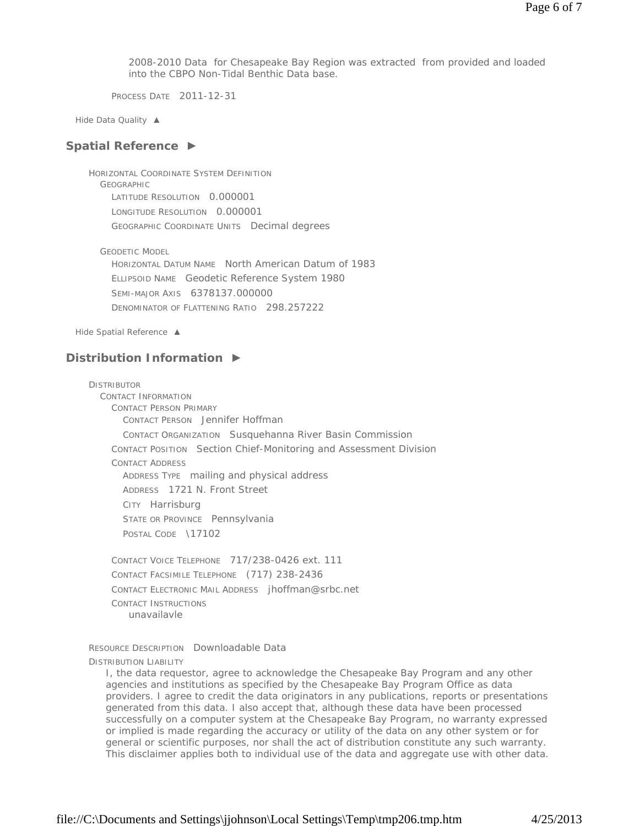2008-2010 Data for Chesapeake Bay Region was extracted from provided and loaded into the CBPO Non-Tidal Benthic Data base.

PROCESS DATE 2011-12-31

*Hide Data Quality ▲*

### **Spatial Reference ►**

HORIZONTAL COORDINATE SYSTEM DEFINITION **GEOGRAPHIC** LATITUDE RESOLUTION 0.000001 LONGITUDE RESOLUTION 0.000001 GEOGRAPHIC COORDINATE UNITS Decimal degrees

GEODETIC MODEL

HORIZONTAL DATUM NAME North American Datum of 1983 ELLIPSOID NAME Geodetic Reference System 1980 SEMI-MAJOR AXIS 6378137.000000 DENOMINATOR OF FLATTENING RATIO 298.257222

*Hide Spatial Reference ▲*

## **Distribution Information ►**

DISTRIBUTOR CONTACT INFORMATION CONTACT PERSON PRIMARY CONTACT PERSON Jennifer Hoffman CONTACT ORGANIZATION Susquehanna River Basin Commission CONTACT POSITION Section Chief-Monitoring and Assessment Division CONTACT ADDRESS ADDRESS TYPE mailing and physical address ADDRESS 1721 N. Front Street CITY Harrisburg STATE OR PROVINCE Pennsylvania POSTAL CODE \17102 CONTACT VOICE TELEPHONE 717/238-0426 ext. 111

CONTACT FACSIMILE TELEPHONE (717) 238-2436 CONTACT ELECTRONIC MAIL ADDRESS jhoffman@srbc.net CONTACT INSTRUCTIONS unavailavle

RESOURCE DESCRIPTION Downloadable Data DISTRIBUTION LIABILITY

I, the data requestor, agree to acknowledge the Chesapeake Bay Program and any other agencies and institutions as specified by the Chesapeake Bay Program Office as data providers. I agree to credit the data originators in any publications, reports or presentations generated from this data. I also accept that, although these data have been processed successfully on a computer system at the Chesapeake Bay Program, no warranty expressed or implied is made regarding the accuracy or utility of the data on any other system or for general or scientific purposes, nor shall the act of distribution constitute any such warranty. This disclaimer applies both to individual use of the data and aggregate use with other data.